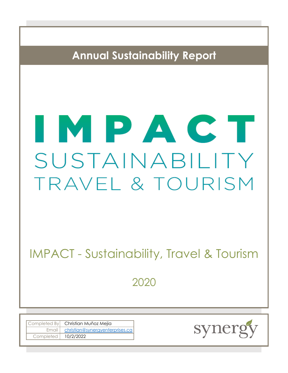**Annual Sustainability Report**

# IMPAC SUSTAINABILITY TRAVEL & TOURISM

IMPACT - Sustainability, Travel & Tourism

2020

|                       | Completed By Christian Muñoz Mejia      |
|-----------------------|-----------------------------------------|
|                       | Email   christian@synergyenterprises.ca |
| Completed   10/2/2022 |                                         |

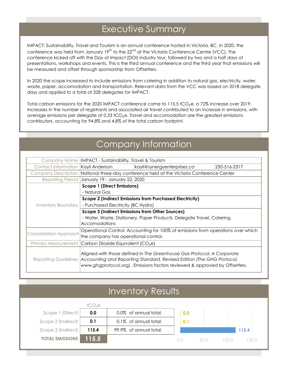## Executive Summary

IMPACT: Sustainability, Travel and Tourism is an annual conference hosted in Victoria, BC. In 2020, the conference was held from January 19<sup>th</sup> to the 22<sup>nd</sup> at the Victoria Conference Centre (VCC). The conference kicked off with the Day of Impact (DOI) industry tour, followed by two and a half days of presentations, workshops and events. This is the third annual conference and the third year that emissions will be measured and offset through sponsorship from Offsetters.

In 2020 the scope increased to include emissions from catering in addition to natural gas, electricity, water, waste, paper, accomodation and transportation. Relevant data from the VCC was based on 2018 delegate days and applied to a total of 328 delegates for IMPACT.

Total carbon emissions for the 2020 IMPACT conference came to  $115.5$  tCO<sub>2</sub>e, a 72% increase over 2019. Increases in the number of registrants and associated air travel contributed to an increase in emissions, with average emissions per delegate at 0.33  $tCO<sub>2</sub>e$ . Travel and accomodation are the greatest emissions contributors, accounting for 94.8% and 4.8% of the total carbon footprint.

## Company Information

|                               | Company Name   IMPACT - Sustainability, Travel & Tourism                                                                                                                   |                                                                                            |              |  |  |
|-------------------------------|----------------------------------------------------------------------------------------------------------------------------------------------------------------------------|--------------------------------------------------------------------------------------------|--------------|--|--|
|                               | Contact Information Kayli Anderson                                                                                                                                         | kayli@synergyenterprises.ca                                                                | 250-516-2317 |  |  |
|                               |                                                                                                                                                                            | Company Description   National three-day conference held at the Victoria Conference Center |              |  |  |
|                               | Reporting Period   January 19 - January 22, 2020                                                                                                                           |                                                                                            |              |  |  |
|                               | Scope 1 (Direct Emissions)                                                                                                                                                 |                                                                                            |              |  |  |
|                               | - Natural Gas                                                                                                                                                              |                                                                                            |              |  |  |
|                               | <b>Scope 2 (Indirect Emissions from Purchased Electricity)</b>                                                                                                             |                                                                                            |              |  |  |
|                               | Inventory Boundary   - Purchased Electricity (BC Hydro)                                                                                                                    |                                                                                            |              |  |  |
|                               | Scope 3 (Indirect Emissions from Other Sources)                                                                                                                            |                                                                                            |              |  |  |
|                               | - Water, Waste, Stationery, Paper Products, Delegate Travel, Catering,                                                                                                     |                                                                                            |              |  |  |
|                               | <b>Accomodations</b>                                                                                                                                                       |                                                                                            |              |  |  |
| <b>Consolidation Approach</b> |                                                                                                                                                                            | Operational Control: Accounting for 100% of emissions from operations over which           |              |  |  |
|                               | the company has operational control.                                                                                                                                       |                                                                                            |              |  |  |
|                               | Primary Measurement Carbon Dioxide Equivalent (CO <sub>2</sub> e)                                                                                                          |                                                                                            |              |  |  |
|                               |                                                                                                                                                                            |                                                                                            |              |  |  |
|                               |                                                                                                                                                                            | Aligned with those defined in The Greenhouse Gas Protocol: A Corporate                     |              |  |  |
|                               | Reporting Guidelines   Accounting and Reporting Standard, Revised Edition (The GHG Protocol,<br>www.ghgprotocol.org). Emissions factors reviewed & approved by Offsetters. |                                                                                            |              |  |  |
|                               |                                                                                                                                                                            |                                                                                            |              |  |  |

## Inventory Results

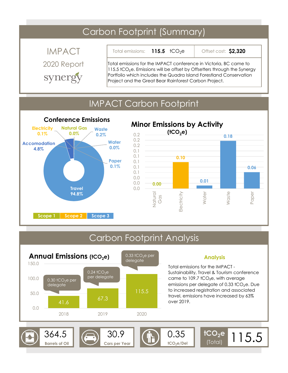## Carbon Footprint (Summary)

IMPACT synergy

**115.5**  $tCO_2e$ Total emissions:

Offset cost: **\$2,320**

2020 Report Total emissions for the IMPACT conference in Victoria, BC came to 115.5  $tCO<sub>2</sub>e$ . Emissions will be offset by Offsetters through the Synergy Portfolio which includes the Quadra Island Forestland Conservation Project and the Great Bear Rainforest Carbon Project.

## IMPACT Carbon Footprint



#### **0.00 0.10 0.01 0.18 0.06** 0.0 0.0 0.0 0.1 0.1 0.1 0.1 0.1 0.2 0.2 0.2 Natural Gas **Electricity** Water Waste Paper **Minor Emissions by Activity (tCO2e)**

#### Carbon Footprint Analysis **Analysis** Total emissions for the IMPACT - Sustainability, Travel & Tourism conference came to  $109.7$  tCO<sub>2</sub>e, with average emissions per delegate of 0.33  $tCO<sub>2</sub>e$ . Due to increased registration and associated travel, emissions have increased by 63% over 2019. **tCO2e tCO** (Total) **<sup>2</sup>e/Del**  $364.5$   $\odot$  30.9  $\odot$  0.35 **Barrels of Oil Cars per Year** 115.5 41.6 67.3 115.5 0.0 50.0 100.0 150.0 2018 2019 2020 **Annual Emissions (tCO2e)**  $0.30$  tCO<sub>2</sub>e per delegate  $0.24$  tCO<sub>2</sub>e per delegate 0.33  $tCO<sub>2</sub>e$  per delegate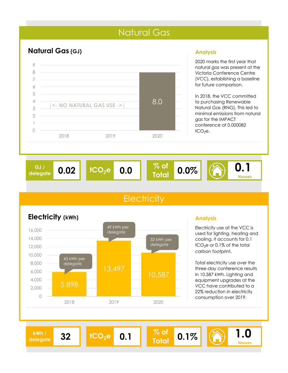## Natural Gas



#### **Analysis**

2020 marks the first year that natural gas was present at the Victoria Conference Centre (VCC), establishing a baseline for future comparison.

In 2018, the VCC committed to purchasing Renewable Natural Gas (RNG). This led to minimal emissions from natural gas for the IMPACT conference at 0.000082  $tCO<sub>2</sub>e$ .



8.0

## **Electricity**



2018 2019 2020

**|<- NO NATURAL GAS USE ->|**

#### **Analysis**

Electricity use at the VCC is used for lighting, heating and cooling. It accounts for 0.1  $tCO<sub>2</sub>e$  or 0.1% of the total carbon footprint.

Total electricity use over the three-day conference results in 10,587 kWh. Lighting and equipment upgrades at the VCC have contributed to a 22% reduction in electricity consumption over 2019.

**kWh /** 

**delegate <sup>32</sup> tCO2<sup>e</sup> 0.1 % of** 

**Total**

**0.1% 1.0**

**Houses**

## **Electricity (kWh)**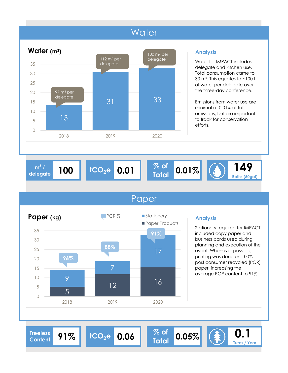## **Water**



#### **Analysis**

Water for IMPACT includes delegate and kitchen use. Total consumption came to 33  $m^3$ . This equates to  $\sim$  100 L of water per delegate over the three-day conference.

Emissions from water use are minimal at 0.01% of total emissions, but are important to track for conservation efforts.

 $^{3}$  / **delegate 100** **0.01**

**% of**   $T_{\text{delegate}}^{\text{m}^3/4}$  **100 tCO**<sub>2</sub>**e 0.01 Total 0.01%** 

**149 Baths (50gal)**

## Paper



#### **Analysis**

Stationery required for IMPACT included copy paper and business cards used during planning and execution of the event. Whenever possible, printing was done on 100% post consumer recycled (PCR) paper, increasing the average PCR content to 91%.

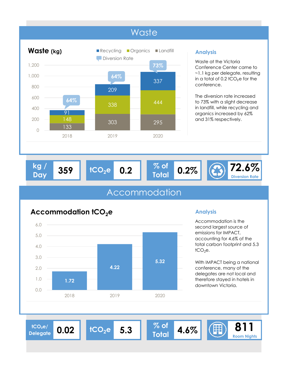

#### **Analysis**

Waste at the Victoria Conference Center came to ~1.1 kg per delegate, resulting in a total of  $0.2$  tCO<sub>2</sub>e for the conference.

The diversion rate increased to 73% with a slight decrease in landfill, while recycling and organics increased by 62% and 31% respectively.

| Dav | ka l | 359 | $HCO.$ e | 0.2 | 47 | $0.2\%$ |  | $\sqrt{2.6\%}$<br><b>Diversion Rate</b> |
|-----|------|-----|----------|-----|----|---------|--|-----------------------------------------|
|-----|------|-----|----------|-----|----|---------|--|-----------------------------------------|

## Accommodation

## **1.72 4.22 5.32**  0.0 1.0 2.0 3.0 4.0 5.0 6.0 2018 2019 2020 **Accommodation tCO2e**

### **Analysis**

Accommodation is the second largest source of emissions for IMPACT, accounting for 4.6% of the total carbon footprint and 5.3  $tCO<sub>2</sub>e.$ 

With IMPACT being a national conference, many of the delegates are not local and therefore stayed in hotels in downtown Victoria.

 $\frac{1^{\text{CO}_2\text{e}}}{\text{Q}_4\text{e}^{\text{out}}}\$  0.02 **Delegate**

 $tCO_2e$  **5.3**  $\begin{array}{|c|c|} \hline \% & \circ f \\ \hline \end{array}$ 

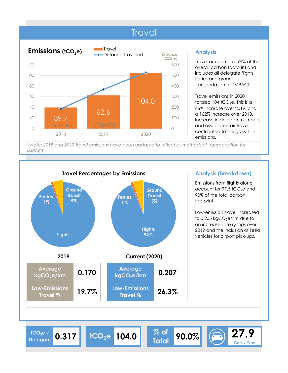## **Travel**



#### **Analysis**

Travel accounts for 95% of the overall carbon footprint and includes all delegate flights, ferries and ground transportation for IMPACT.

Travel emissions in 2020 totaled 104 tCO<sub>2</sub>e. This is a 66% increase over 2019, and a 162% increase over 2018. Increase in delegate numbers and associated air travel contributed to the growth in emissions.

*\* Note: 2018 and 2019 travel emissions have been updated to reflect all methods of transportation for IMPACT.* 

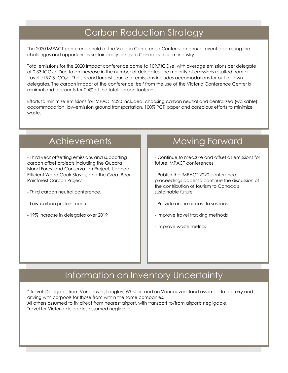## Carbon Reduction Strategy

The 2020 IMPACT conference held at the Victoria Conference Center is an annual event addressing the challenges and opportunities sustainability brings to Canada's tourism industry.

Total emissions for the 2020 Impact conference came to  $109.7$ tCO<sub>2</sub>e, with average emissions per delegate of 0.33 tCO<sub>2</sub>e. Due to an increase in the number of delegates, the majority of emissions resulted from air travel at 97.5 tCO<sub>2</sub>e. The second largest source of emissions includes accomodations for out-of-town delegates. The carbon impact of the conference itself from the use of the Victoria Conference Center is minimal and accounts for 0.4% of the total carbon footprint.

Efforts to minimize emissions for IMPACT 2020 included: choosing carbon neutral and centralized (walkable) accommodation, low-emission ground transportation, 100% PCR paper and conscious efforts to minimize waste.

- Third year offsetting emissions and supporting carbon offset projects including the Quadra Island Forestland Conservation Project, Uganda Efficient Wood Cook Stoves, and the Great Bear Rainforest Carbon Project

- Third carbon neutral conference.
- Low-carbon protein menu
- 19% increase in delegates over 2019

## Achievements Moving Forward

- Continue to measure and offset all emissions for future IMPACT conferences

- Publish the IMPACT 2020 conference proceedings paper to continue the discussion of the contribution of tourism to Canada's sustainable future

- Provide online access to sessions
- Improve travel tracking methods
- Improve waste metrics

## Information on Inventory Uncertainty

\* Travel: Delegates from Vancouver, Langley, Whistler, and on Vancouver Island assumed to be ferry and driving with carpools for those from within the same companies. All others assumed to fly direct from nearest airport, with transport to/from airports negligable. Travel for Victoria delegates assumed negligible.